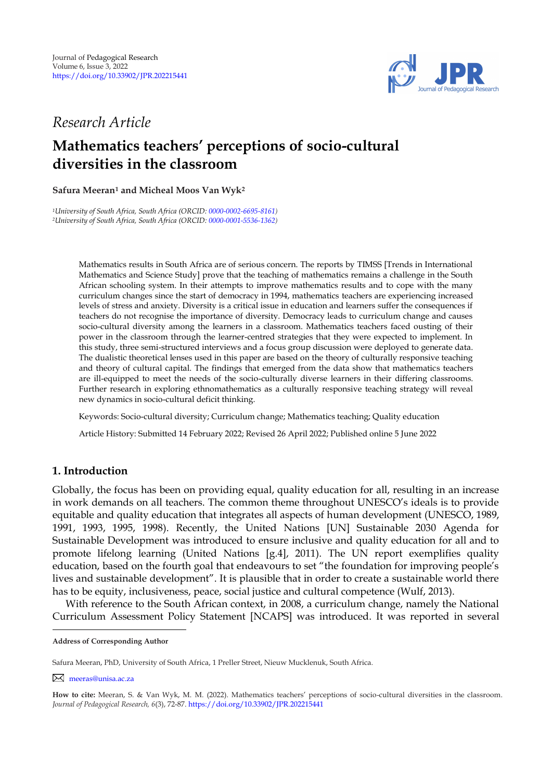

## *Research Article*

# **Mathematics teachers' perceptions of socio-cultural diversities in the classroom**

## **Safura Meeran<sup>1</sup> and Micheal Moos Van Wyk<sup>2</sup>**

*<sup>1</sup>University of South Africa, South Africa (ORCID[: 0000-0002-6695-8161\)](https://orcid.org/0000-0002-6695-8161) <sup>2</sup>University of South Africa, South Africa (ORCID[: 0000-0001-5536-1362\)](http://www.orcid.org/0000-0001-5536-1362)*

> Mathematics results in South Africa are of serious concern. The reports by TIMSS [Trends in International Mathematics and Science Study] prove that the teaching of mathematics remains a challenge in the South African schooling system. In their attempts to improve mathematics results and to cope with the many curriculum changes since the start of democracy in 1994, mathematics teachers are experiencing increased levels of stress and anxiety. Diversity is a critical issue in education and learners suffer the consequences if teachers do not recognise the importance of diversity. Democracy leads to curriculum change and causes socio-cultural diversity among the learners in a classroom. Mathematics teachers faced ousting of their power in the classroom through the learner-centred strategies that they were expected to implement. In this study, three semi-structured interviews and a focus group discussion were deployed to generate data. The dualistic theoretical lenses used in this paper are based on the theory of culturally responsive teaching and theory of cultural capital. The findings that emerged from the data show that mathematics teachers are ill-equipped to meet the needs of the socio-culturally diverse learners in their differing classrooms. Further research in exploring ethnomathematics as a culturally responsive teaching strategy will reveal new dynamics in socio-cultural deficit thinking.

Keywords: Socio-cultural diversity; Curriculum change; Mathematics teaching; Quality education

Article History: Submitted 14 February 2022; Revised 26 April 2022; Published online 5 June 2022

## **1. Introduction**

Globally, the focus has been on providing equal, quality education for all, resulting in an increase in work demands on all teachers. The common theme throughout UNESCO"s ideals is to provide equitable and quality education that integrates all aspects of human development (UNESCO, 1989, 1991, 1993, 1995, 1998). Recently, the United Nations [UN] Sustainable 2030 Agenda for Sustainable Development was introduced to ensure inclusive and quality education for all and to promote lifelong learning (United Nations [g.4], 2011). The UN report exemplifies quality education, based on the fourth goal that endeavours to set "the foundation for improving people"s lives and sustainable development". It is plausible that in order to create a sustainable world there has to be equity, inclusiveness, peace, social justice and cultural competence (Wulf, 2013).

With reference to the South African context, in 2008, a curriculum change, namely the National Curriculum Assessment Policy Statement [NCAPS] was introduced. It was reported in several

[meeras@unisa.ac.za](mailto:meeras@unisa.ac.za)

**Address of Corresponding Author**

Safura Meeran, PhD, University of South Africa, 1 Preller Street, Nieuw Mucklenuk, South Africa.

**How to cite:** Meeran, S. & Van Wyk, M. M. (2022). Mathematics teachers" perceptions of socio-cultural diversities in the classroom. *Journal of Pedagogical Research, 6*(3), 72-87. <https://doi.org/10.33902/JPR.202215441>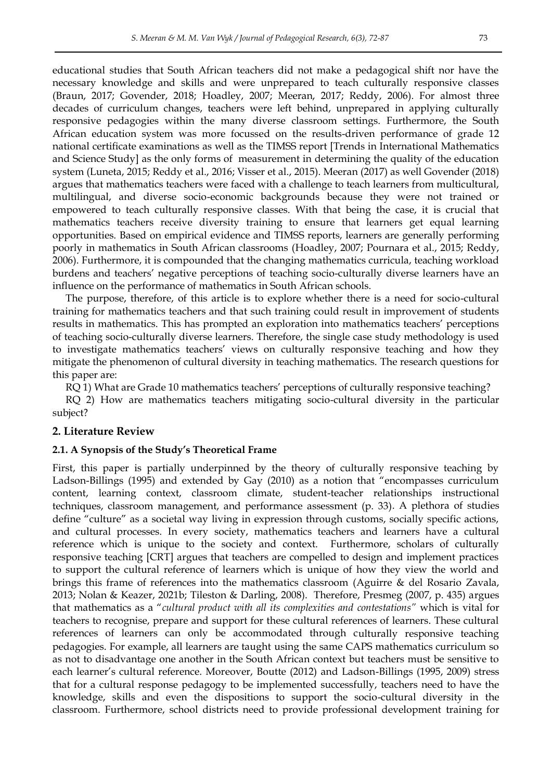educational studies that South African teachers did not make a pedagogical shift nor have the necessary knowledge and skills and were unprepared to teach culturally responsive classes (Braun, 2017; Govender, 2018; Hoadley, 2007; Meeran, 2017; Reddy, 2006). For almost three decades of curriculum changes, teachers were left behind, unprepared in applying culturally responsive pedagogies within the many diverse classroom settings. Furthermore, the South African education system was more focussed on the results-driven performance of grade 12 national certificate examinations as well as the TIMSS report [Trends in International Mathematics and Science Study] as the only forms of measurement in determining the quality of the education system (Luneta, 2015; Reddy et al., 2016; Visser et al., 2015). Meeran (2017) as well Govender (2018) argues that mathematics teachers were faced with a challenge to teach learners from multicultural, multilingual, and diverse socio-economic backgrounds because they were not trained or empowered to teach culturally responsive classes. With that being the case, it is crucial that mathematics teachers receive diversity training to ensure that learners get equal learning opportunities. Based on empirical evidence and TIMSS reports, learners are generally performing poorly in mathematics in South African classrooms (Hoadley, 2007; Pournara et al., 2015; Reddy, 2006). Furthermore, it is compounded that the changing mathematics curricula, teaching workload burdens and teachers" negative perceptions of teaching socio-culturally diverse learners have an influence on the performance of mathematics in South African schools.

The purpose, therefore, of this article is to explore whether there is a need for socio-cultural training for mathematics teachers and that such training could result in improvement of students results in mathematics. This has prompted an exploration into mathematics teachers" perceptions of teaching socio-culturally diverse learners. Therefore, the single case study methodology is used to investigate mathematics teachers' views on culturally responsive teaching and how they mitigate the phenomenon of cultural diversity in teaching mathematics. The research questions for this paper are:

RQ 1) What are Grade 10 mathematics teachers' perceptions of culturally responsive teaching?

RQ 2) How are mathematics teachers mitigating socio-cultural diversity in the particular subject?

### **2. Literature Review**

#### **2.1. A Synopsis of the Study's Theoretical Frame**

First, this paper is partially underpinned by the theory of culturally responsive teaching by Ladson-Billings (1995) and extended by Gay (2010) as a notion that "encompasses curriculum content, learning context, classroom climate, student-teacher relationships instructional techniques, classroom management, and performance assessment (p. 33). A plethora of studies define "culture" as a societal way living in expression through customs, socially specific actions, and cultural processes. In every society, mathematics teachers and learners have a cultural reference which is unique to the society and context. Furthermore, scholars of culturally responsive teaching [CRT] argues that teachers are compelled to design and implement practices to support the cultural reference of learners which is unique of how they view the world and brings this frame of references into the mathematics classroom (Aguirre & del Rosario Zavala, 2013; Nolan & Keazer, 2021b; Tileston & Darling, 2008). Therefore, Presmeg (2007, p. 435) argues that mathematics as a "*cultural product with all its complexities and contestations"* which is vital for teachers to recognise, prepare and support for these cultural references of learners. These cultural references of learners can only be accommodated through culturally responsive teaching pedagogies. For example, all learners are taught using the same CAPS mathematics curriculum so as not to disadvantage one another in the South African context but teachers must be sensitive to each learner"s cultural reference. Moreover, Boutte (2012) and Ladson-Billings (1995, 2009) stress that for a cultural response pedagogy to be implemented successfully, teachers need to have the knowledge, skills and even the dispositions to support the socio-cultural diversity in the classroom. Furthermore, school districts need to provide professional development training for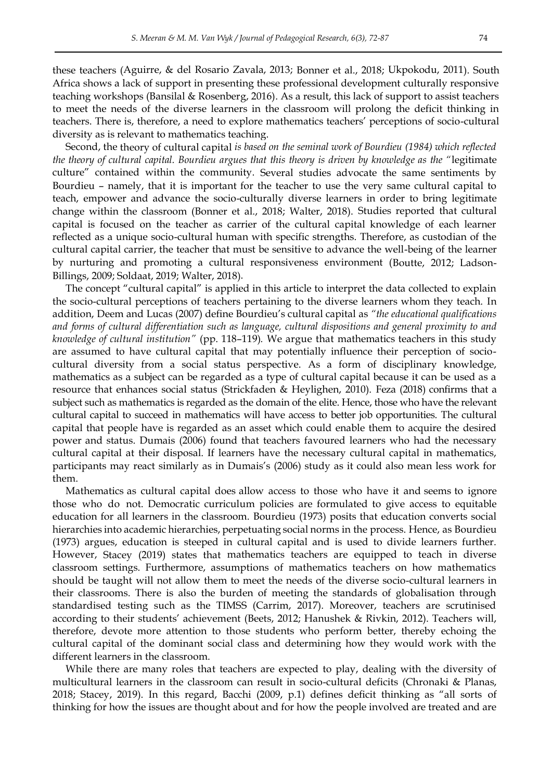these teachers (Aguirre, & del Rosario Zavala, 2013; Bonner et al., 2018; Ukpokodu, 2011). South Africa shows a lack of support in presenting these professional development culturally responsive teaching workshops (Bansilal & Rosenberg, 2016). As a result, this lack of support to assist teachers to meet the needs of the diverse learners in the classroom will prolong the deficit thinking in teachers. There is, therefore, a need to explore mathematics teachers" perceptions of socio-cultural diversity as is relevant to mathematics teaching.

Second, the theory of cultural capital *is based on the seminal work of Bourdieu (1984) which reflected the theory of cultural capital. Bourdieu argues that this theory is driven by knowledge as the "*legitimate culture" contained within the community. Several studies advocate the same sentiments by Bourdieu – namely, that it is important for the teacher to use the very same cultural capital to teach, empower and advance the socio-culturally diverse learners in order to bring legitimate change within the classroom (Bonner et al., 2018; Walter, 2018). Studies reported that cultural capital is focused on the teacher as carrier of the cultural capital knowledge of each learner reflected as a unique socio-cultural human with specific strengths. Therefore, as custodian of the cultural capital carrier, the teacher that must be sensitive to advance the well-being of the learner by nurturing and promoting a cultural responsiveness environment (Boutte, 2012; Ladson-Billings, 2009; Soldaat, 2019; Walter, 2018).

The concept "cultural capital" is applied in this article to interpret the data collected to explain the socio-cultural perceptions of teachers pertaining to the diverse learners whom they teach. In addition, Deem and Lucas (2007) define Bourdieu"s cultural capital as *"the educational qualifications and forms of cultural differentiation such as language, cultural dispositions and general proximity to and knowledge of cultural institution"* (pp. 118–119)*.* We argue that mathematics teachers in this study are assumed to have cultural capital that may potentially influence their perception of sociocultural diversity from a social status perspective. As a form of disciplinary knowledge, mathematics as a subject can be regarded as a type of cultural capital because it can be used as a resource that enhances social status (Strickfaden & Heylighen, 2010). Feza (2018) confirms that a subject such as mathematics is regarded as the domain of the elite. Hence, those who have the relevant cultural capital to succeed in mathematics will have access to better job opportunities. The cultural capital that people have is regarded as an asset which could enable them to acquire the desired power and status. Dumais (2006) found that teachers favoured learners who had the necessary cultural capital at their disposal. If learners have the necessary cultural capital in mathematics, participants may react similarly as in Dumais"s (2006) study as it could also mean less work for them.

Mathematics as cultural capital does allow access to those who have it and seems to ignore those who do not. Democratic curriculum policies are formulated to give access to equitable education for all learners in the classroom. Bourdieu (1973) posits that education converts social hierarchies into academic hierarchies, perpetuating social norms in the process. Hence, as Bourdieu (1973) argues, education is steeped in cultural capital and is used to divide learners further. However, Stacey (2019) states that mathematics teachers are equipped to teach in diverse classroom settings. Furthermore, assumptions of mathematics teachers on how mathematics should be taught will not allow them to meet the needs of the diverse socio-cultural learners in their classrooms. There is also the burden of meeting the standards of globalisation through standardised testing such as the TIMSS (Carrim, 2017). Moreover, teachers are scrutinised according to their students" achievement (Beets, 2012; Hanushek & Rivkin, 2012). Teachers will, therefore, devote more attention to those students who perform better, thereby echoing the cultural capital of the dominant social class and determining how they would work with the different learners in the classroom.

While there are many roles that teachers are expected to play, dealing with the diversity of multicultural learners in the classroom can result in socio-cultural deficits (Chronaki & Planas, 2018; Stacey, 2019). In this regard, Bacchi (2009, p.1) defines deficit thinking as "all sorts of thinking for how the issues are thought about and for how the people involved are treated and are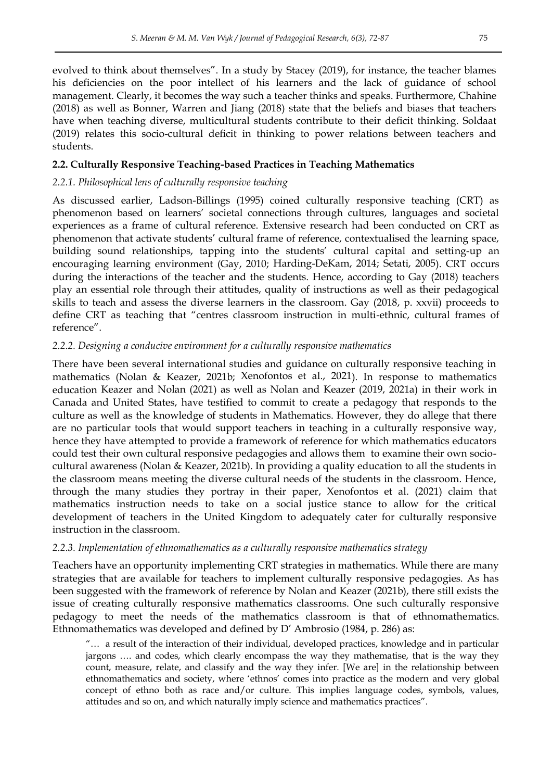evolved to think about themselves". In a study by Stacey (2019), for instance, the teacher blames his deficiencies on the poor intellect of his learners and the lack of guidance of school management. Clearly, it becomes the way such a teacher thinks and speaks. Furthermore, Chahine (2018) as well as Bonner, Warren and Jiang (2018) state that the beliefs and biases that teachers have when teaching diverse, multicultural students contribute to their deficit thinking. Soldaat (2019) relates this socio-cultural deficit in thinking to power relations between teachers and students.

## **2.2. Culturally Responsive Teaching-based Practices in Teaching Mathematics**

## *2.2.1. Philosophical lens of culturally responsive teaching*

As discussed earlier, Ladson-Billings (1995) coined culturally responsive teaching (CRT) as phenomenon based on learners" societal connections through cultures, languages and societal experiences as a frame of cultural reference. Extensive research had been conducted on CRT as phenomenon that activate students' cultural frame of reference, contextualised the learning space, building sound relationships, tapping into the students' cultural capital and setting-up an encouraging learning environment (Gay, 2010; Harding-DeKam, 2014; Setati, 2005). CRT occurs during the interactions of the teacher and the students. Hence, according to Gay (2018) teachers play an essential role through their attitudes, quality of instructions as well as their pedagogical skills to teach and assess the diverse learners in the classroom. Gay (2018, p. xxvii) proceeds to define CRT as teaching that "centres classroom instruction in multi-ethnic, cultural frames of reference".

## *2.2.2. Designing a conducive environment for a culturally responsive mathematics*

There have been several international studies and guidance on culturally responsive teaching in mathematics (Nolan & Keazer, 2021b; Xenofontos et al., 2021). In response to mathematics education Keazer and Nolan (2021) as well as Nolan and Keazer (2019, 2021a) in their work in Canada and United States, have testified to commit to create a pedagogy that responds to the culture as well as the knowledge of students in Mathematics. However, they do allege that there are no particular tools that would support teachers in teaching in a culturally responsive way, hence they have attempted to provide a framework of reference for which mathematics educators could test their own cultural responsive pedagogies and allows them to examine their own sociocultural awareness (Nolan & Keazer, 2021b). In providing a quality education to all the students in the classroom means meeting the diverse cultural needs of the students in the classroom. Hence, through the many studies they portray in their paper, Xenofontos et al. (2021) claim that mathematics instruction needs to take on a social justice stance to allow for the critical development of teachers in the United Kingdom to adequately cater for culturally responsive instruction in the classroom.

## *2.2.3. Implementation of ethnomathematics as a culturally responsive mathematics strategy*

Teachers have an opportunity implementing CRT strategies in mathematics. While there are many strategies that are available for teachers to implement culturally responsive pedagogies. As has been suggested with the framework of reference by Nolan and Keazer (2021b), there still exists the issue of creating culturally responsive mathematics classrooms. One such culturally responsive pedagogy to meet the needs of the mathematics classroom is that of ethnomathematics. Ethnomathematics was developed and defined by D" Ambrosio (1984, p. 286) as:

"… a result of the interaction of their individual, developed practices, knowledge and in particular jargons …. and codes, which clearly encompass the way they mathematise, that is the way they count, measure, relate, and classify and the way they infer. [We are] in the relationship between ethnomathematics and society, where "ethnos" comes into practice as the modern and very global concept of ethno both as race and/or culture. This implies language codes, symbols, values, attitudes and so on, and which naturally imply science and mathematics practices".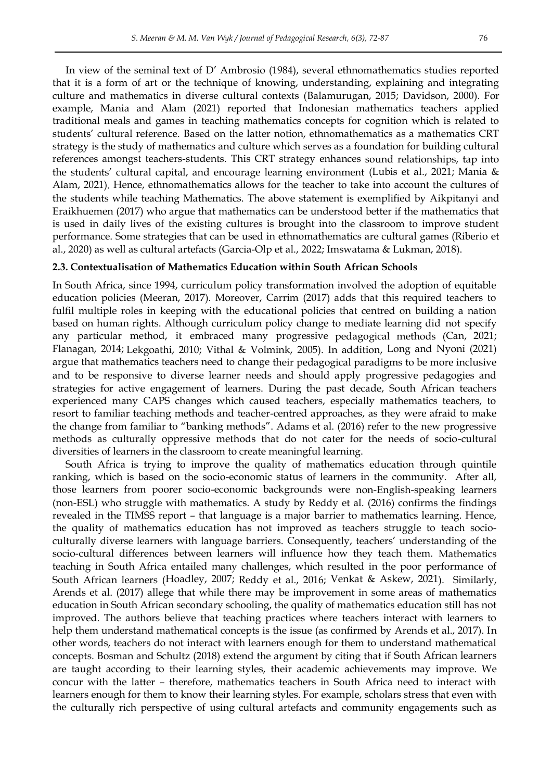In view of the seminal text of D" Ambrosio (1984), several ethnomathematics studies reported that it is a form of art or the technique of knowing, understanding, explaining and integrating culture and mathematics in diverse cultural contexts (Balamurugan, 2015; Davidson, 2000). For example, Mania and Alam (2021) reported that Indonesian mathematics teachers applied traditional meals and games in teaching mathematics concepts for cognition which is related to students" cultural reference. Based on the latter notion, ethnomathematics as a mathematics CRT strategy is the study of mathematics and culture which serves as a foundation for building cultural references amongst teachers-students. This CRT strategy enhances sound relationships, tap into the students' cultural capital, and encourage learning environment (Lubis et al., 2021; Mania & Alam, 2021). Hence, ethnomathematics allows for the teacher to take into account the cultures of the students while teaching Mathematics. The above statement is exemplified by Aikpitanyi and Eraikhuemen (2017) who argue that mathematics can be understood better if the mathematics that is used in daily lives of the existing cultures is brought into the classroom to improve student performance. Some strategies that can be used in ethnomathematics are cultural games (Riberio et al., 2020) as well as cultural artefacts (Garcia-Olp et al., 2022; Imswatama & Lukman, 2018).

#### **2.3. Contextualisation of Mathematics Education within South African Schools**

In South Africa, since 1994, curriculum policy transformation involved the adoption of equitable education policies (Meeran, 2017). Moreover, Carrim (2017) adds that this required teachers to fulfil multiple roles in keeping with the educational policies that centred on building a nation based on human rights. Although curriculum policy change to mediate learning did not specify any particular method, it embraced many progressive pedagogical methods (Can, 2021; Flanagan, 2014; Lekgoathi, 2010; Vithal & Volmink, 2005). In addition, Long and Nyoni (2021) argue that mathematics teachers need to change their pedagogical paradigms to be more inclusive and to be responsive to diverse learner needs and should apply progressive pedagogies and strategies for active engagement of learners. During the past decade, South African teachers experienced many CAPS changes which caused teachers, especially mathematics teachers, to resort to familiar teaching methods and teacher-centred approaches, as they were afraid to make the change from familiar to "banking methods". Adams et al. (2016) refer to the new progressive methods as culturally oppressive methods that do not cater for the needs of socio-cultural diversities of learners in the classroom to create meaningful learning.

South Africa is trying to improve the quality of mathematics education through quintile ranking, which is based on the socio-economic status of learners in the community. After all, those learners from poorer socio-economic backgrounds were non-English-speaking learners (non-ESL) who struggle with mathematics. A study by Reddy et al. (2016) confirms the findings revealed in the TIMSS report – that language is a major barrier to mathematics learning. Hence, the quality of mathematics education has not improved as teachers struggle to teach socioculturally diverse learners with language barriers. Consequently, teachers' understanding of the socio-cultural differences between learners will influence how they teach them. Mathematics teaching in South Africa entailed many challenges, which resulted in the poor performance of South African learners (Hoadley, 2007; Reddy et al., 2016; Venkat & Askew, 2021). Similarly, Arends et al. (2017) allege that while there may be improvement in some areas of mathematics education in South African secondary schooling, the quality of mathematics education still has not improved. The authors believe that teaching practices where teachers interact with learners to help them understand mathematical concepts is the issue (as confirmed by Arends et al., 2017). In other words, teachers do not interact with learners enough for them to understand mathematical concepts. Bosman and Schultz (2018) extend the argument by citing that if South African learners are taught according to their learning styles, their academic achievements may improve. We concur with the latter – therefore, mathematics teachers in South Africa need to interact with learners enough for them to know their learning styles. For example, scholars stress that even with the culturally rich perspective of using cultural artefacts and community engagements such as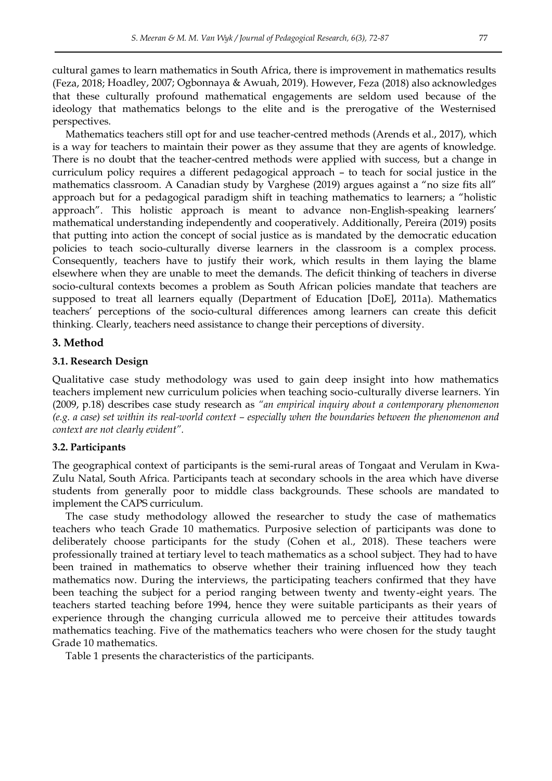cultural games to learn mathematics in South Africa, there is improvement in mathematics results (Feza, 2018; Hoadley, 2007; Ogbonnaya & Awuah, 2019). However, Feza (2018) also acknowledges that these culturally profound mathematical engagements are seldom used because of the ideology that mathematics belongs to the elite and is the prerogative of the Westernised perspectives.

Mathematics teachers still opt for and use teacher-centred methods (Arends et al., 2017), which is a way for teachers to maintain their power as they assume that they are agents of knowledge. There is no doubt that the teacher-centred methods were applied with success, but a change in curriculum policy requires a different pedagogical approach – to teach for social justice in the mathematics classroom. A Canadian study by Varghese (2019) argues against a "no size fits all" approach but for a pedagogical paradigm shift in teaching mathematics to learners; a "holistic approach". This holistic approach is meant to advance non-English-speaking learners" mathematical understanding independently and cooperatively. Additionally, Pereira (2019) posits that putting into action the concept of social justice as is mandated by the democratic education policies to teach socio-culturally diverse learners in the classroom is a complex process. Consequently, teachers have to justify their work, which results in them laying the blame elsewhere when they are unable to meet the demands. The deficit thinking of teachers in diverse socio-cultural contexts becomes a problem as South African policies mandate that teachers are supposed to treat all learners equally (Department of Education [DoE], 2011a). Mathematics teachers" perceptions of the socio-cultural differences among learners can create this deficit thinking. Clearly, teachers need assistance to change their perceptions of diversity.

## **3. Method**

#### **3.1. Research Design**

Qualitative case study methodology was used to gain deep insight into how mathematics teachers implement new curriculum policies when teaching socio-culturally diverse learners. Yin (2009, p.18) describes case study research as *"an empirical inquiry about a contemporary phenomenon (e.g. a case) set within its real-world context – especially when the boundaries between the phenomenon and context are not clearly evident".*

#### **3.2. Participants**

The geographical context of participants is the semi-rural areas of Tongaat and Verulam in Kwa-Zulu Natal, South Africa. Participants teach at secondary schools in the area which have diverse students from generally poor to middle class backgrounds. These schools are mandated to implement the CAPS curriculum.

The case study methodology allowed the researcher to study the case of mathematics teachers who teach Grade 10 mathematics. Purposive selection of participants was done to deliberately choose participants for the study (Cohen et al., 2018). These teachers were professionally trained at tertiary level to teach mathematics as a school subject. They had to have been trained in mathematics to observe whether their training influenced how they teach mathematics now. During the interviews, the participating teachers confirmed that they have been teaching the subject for a period ranging between twenty and twenty-eight years. The teachers started teaching before 1994, hence they were suitable participants as their years of experience through the changing curricula allowed me to perceive their attitudes towards mathematics teaching. Five of the mathematics teachers who were chosen for the study taught Grade 10 mathematics.

Table 1 presents the characteristics of the participants.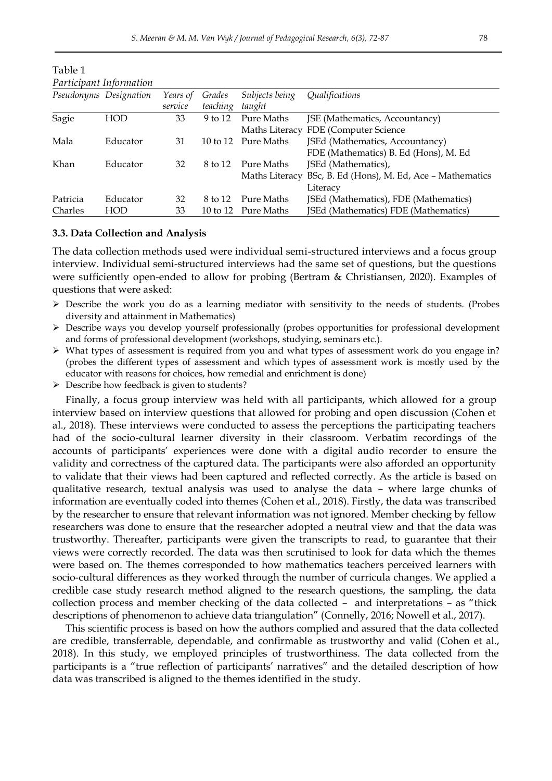| Purticipunt information |                        |          |          |                     |                                                            |
|-------------------------|------------------------|----------|----------|---------------------|------------------------------------------------------------|
|                         | Pseudonyms Designation | Years of | Grades   | Subjects being      | Qualifications                                             |
|                         |                        | service  | teaching | taught              |                                                            |
| Sagie                   | HOD                    | 33       | 9 to 12  | Pure Maths          | JSE (Mathematics, Accountancy)                             |
|                         |                        |          |          |                     | Maths Literacy FDE (Computer Science                       |
| Mala                    | Educator               | 31       |          | 10 to 12 Pure Maths | [SEd (Mathematics, Accountancy)                            |
|                         |                        |          |          |                     | FDE (Mathematics) B. Ed (Hons), M. Ed                      |
| Khan                    | Educator               | 32       | 8 to 12  | Pure Maths          | JSEd (Mathematics),                                        |
|                         |                        |          |          |                     | Maths Literacy BSc, B. Ed (Hons), M. Ed, Ace - Mathematics |
|                         |                        |          |          |                     | Literacy                                                   |
| Patricia                | Educator               | 32       | 8 to 12  | Pure Maths          | JSEd (Mathematics), FDE (Mathematics)                      |
| Charles                 | HOD                    | 33       |          | 10 to 12 Pure Maths | JSEd (Mathematics) FDE (Mathematics)                       |

Table 1 *Participant Information*

#### **3.3. Data Collection and Analysis**

The data collection methods used were individual semi-structured interviews and a focus group interview. Individual semi-structured interviews had the same set of questions, but the questions were sufficiently open-ended to allow for probing (Bertram & Christiansen, 2020). Examples of questions that were asked:

- $\triangleright$  Describe the work you do as a learning mediator with sensitivity to the needs of students. (Probes diversity and attainment in Mathematics)
- Describe ways you develop yourself professionally (probes opportunities for professional development and forms of professional development (workshops, studying, seminars etc.).
- $\triangleright$  What types of assessment is required from you and what types of assessment work do you engage in? (probes the different types of assessment and which types of assessment work is mostly used by the educator with reasons for choices, how remedial and enrichment is done)
- $\triangleright$  Describe how feedback is given to students?

Finally, a focus group interview was held with all participants, which allowed for a group interview based on interview questions that allowed for probing and open discussion (Cohen et al., 2018). These interviews were conducted to assess the perceptions the participating teachers had of the socio-cultural learner diversity in their classroom. Verbatim recordings of the accounts of participants' experiences were done with a digital audio recorder to ensure the validity and correctness of the captured data. The participants were also afforded an opportunity to validate that their views had been captured and reflected correctly. As the article is based on qualitative research, textual analysis was used to analyse the data – where large chunks of information are eventually coded into themes (Cohen et al., 2018). Firstly, the data was transcribed by the researcher to ensure that relevant information was not ignored. Member checking by fellow researchers was done to ensure that the researcher adopted a neutral view and that the data was trustworthy. Thereafter, participants were given the transcripts to read, to guarantee that their views were correctly recorded. The data was then scrutinised to look for data which the themes were based on. The themes corresponded to how mathematics teachers perceived learners with socio-cultural differences as they worked through the number of curricula changes. We applied a credible case study research method aligned to the research questions, the sampling, the data collection process and member checking of the data collected – and interpretations – as "thick descriptions of phenomenon to achieve data triangulation" (Connelly, 2016; Nowell et al., 2017).

This scientific process is based on how the authors complied and assured that the data collected are credible, transferrable, dependable, and confirmable as trustworthy and valid (Cohen et al., 2018). In this study, we employed principles of trustworthiness. The data collected from the participants is a "true reflection of participants' narratives" and the detailed description of how data was transcribed is aligned to the themes identified in the study.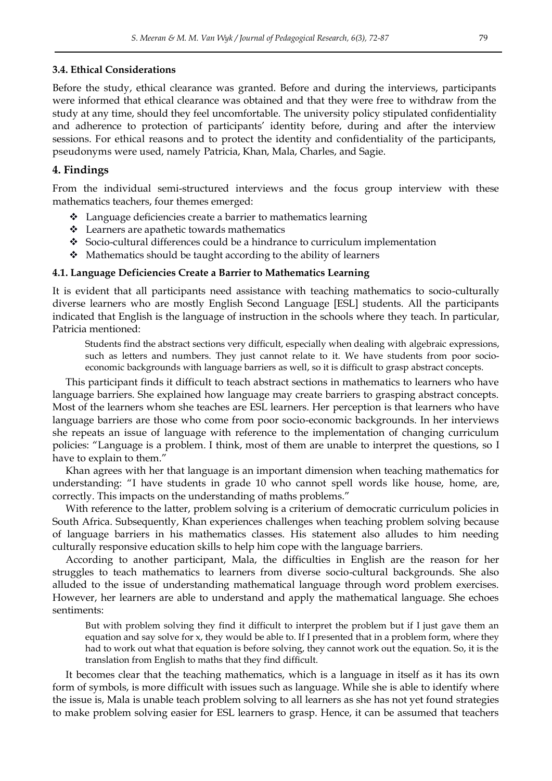## **3.4. Ethical Considerations**

Before the study, ethical clearance was granted. Before and during the interviews, participants were informed that ethical clearance was obtained and that they were free to withdraw from the study at any time, should they feel uncomfortable. The university policy stipulated confidentiality and adherence to protection of participants' identity before, during and after the interview sessions. For ethical reasons and to protect the identity and confidentiality of the participants, pseudonyms were used, namely Patricia, Khan, Mala, Charles, and Sagie.

## **4. Findings**

From the individual semi-structured interviews and the focus group interview with these mathematics teachers, four themes emerged:

- Language deficiencies create a barrier to mathematics learning
- Learners are apathetic towards mathematics
- Socio-cultural differences could be a hindrance to curriculum implementation
- Mathematics should be taught according to the ability of learners

## **4.1. Language Deficiencies Create a Barrier to Mathematics Learning**

It is evident that all participants need assistance with teaching mathematics to socio-culturally diverse learners who are mostly English Second Language [ESL] students. All the participants indicated that English is the language of instruction in the schools where they teach. In particular, Patricia mentioned:

Students find the abstract sections very difficult, especially when dealing with algebraic expressions, such as letters and numbers. They just cannot relate to it. We have students from poor socioeconomic backgrounds with language barriers as well, so it is difficult to grasp abstract concepts.

This participant finds it difficult to teach abstract sections in mathematics to learners who have language barriers. She explained how language may create barriers to grasping abstract concepts. Most of the learners whom she teaches are ESL learners. Her perception is that learners who have language barriers are those who come from poor socio-economic backgrounds. In her interviews she repeats an issue of language with reference to the implementation of changing curriculum policies: "Language is a problem. I think, most of them are unable to interpret the questions, so I have to explain to them."

Khan agrees with her that language is an important dimension when teaching mathematics for understanding: "I have students in grade 10 who cannot spell words like house, home, are, correctly. This impacts on the understanding of maths problems."

With reference to the latter, problem solving is a criterium of democratic curriculum policies in South Africa. Subsequently, Khan experiences challenges when teaching problem solving because of language barriers in his mathematics classes. His statement also alludes to him needing culturally responsive education skills to help him cope with the language barriers.

According to another participant, Mala, the difficulties in English are the reason for her struggles to teach mathematics to learners from diverse socio-cultural backgrounds. She also alluded to the issue of understanding mathematical language through word problem exercises. However, her learners are able to understand and apply the mathematical language. She echoes sentiments:

But with problem solving they find it difficult to interpret the problem but if I just gave them an equation and say solve for x, they would be able to. If I presented that in a problem form, where they had to work out what that equation is before solving, they cannot work out the equation. So, it is the translation from English to maths that they find difficult.

It becomes clear that the teaching mathematics, which is a language in itself as it has its own form of symbols, is more difficult with issues such as language. While she is able to identify where the issue is, Mala is unable teach problem solving to all learners as she has not yet found strategies to make problem solving easier for ESL learners to grasp. Hence, it can be assumed that teachers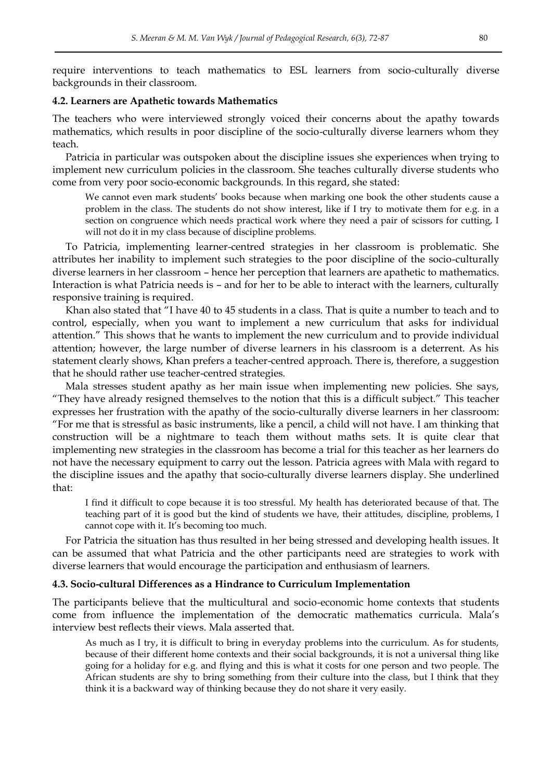require interventions to teach mathematics to ESL learners from socio-culturally diverse backgrounds in their classroom.

#### **4.2. Learners are Apathetic towards Mathematics**

The teachers who were interviewed strongly voiced their concerns about the apathy towards mathematics, which results in poor discipline of the socio-culturally diverse learners whom they teach.

Patricia in particular was outspoken about the discipline issues she experiences when trying to implement new curriculum policies in the classroom. She teaches culturally diverse students who come from very poor socio-economic backgrounds. In this regard, she stated:

We cannot even mark students" books because when marking one book the other students cause a problem in the class. The students do not show interest, like if I try to motivate them for e.g. in a section on congruence which needs practical work where they need a pair of scissors for cutting, I will not do it in my class because of discipline problems.

To Patricia, implementing learner-centred strategies in her classroom is problematic. She attributes her inability to implement such strategies to the poor discipline of the socio-culturally diverse learners in her classroom – hence her perception that learners are apathetic to mathematics. Interaction is what Patricia needs is – and for her to be able to interact with the learners, culturally responsive training is required.

Khan also stated that "I have 40 to 45 students in a class. That is quite a number to teach and to control, especially, when you want to implement a new curriculum that asks for individual attention." This shows that he wants to implement the new curriculum and to provide individual attention; however, the large number of diverse learners in his classroom is a deterrent. As his statement clearly shows, Khan prefers a teacher-centred approach. There is, therefore, a suggestion that he should rather use teacher-centred strategies.

Mala stresses student apathy as her main issue when implementing new policies. She says, "They have already resigned themselves to the notion that this is a difficult subject." This teacher expresses her frustration with the apathy of the socio-culturally diverse learners in her classroom: "For me that is stressful as basic instruments, like a pencil, a child will not have. I am thinking that construction will be a nightmare to teach them without maths sets*.* It is quite clear that implementing new strategies in the classroom has become a trial for this teacher as her learners do not have the necessary equipment to carry out the lesson. Patricia agrees with Mala with regard to the discipline issues and the apathy that socio-culturally diverse learners display. She underlined that:

I find it difficult to cope because it is too stressful. My health has deteriorated because of that. The teaching part of it is good but the kind of students we have, their attitudes, discipline, problems, I cannot cope with it. It's becoming too much.

For Patricia the situation has thus resulted in her being stressed and developing health issues. It can be assumed that what Patricia and the other participants need are strategies to work with diverse learners that would encourage the participation and enthusiasm of learners.

#### **4.3. Socio-cultural Differences as a Hindrance to Curriculum Implementation**

The participants believe that the multicultural and socio-economic home contexts that students come from influence the implementation of the democratic mathematics curricula. Mala"s interview best reflects their views. Mala asserted that.

As much as I try, it is difficult to bring in everyday problems into the curriculum. As for students, because of their different home contexts and their social backgrounds, it is not a universal thing like going for a holiday for e.g. and flying and this is what it costs for one person and two people. The African students are shy to bring something from their culture into the class, but I think that they think it is a backward way of thinking because they do not share it very easily.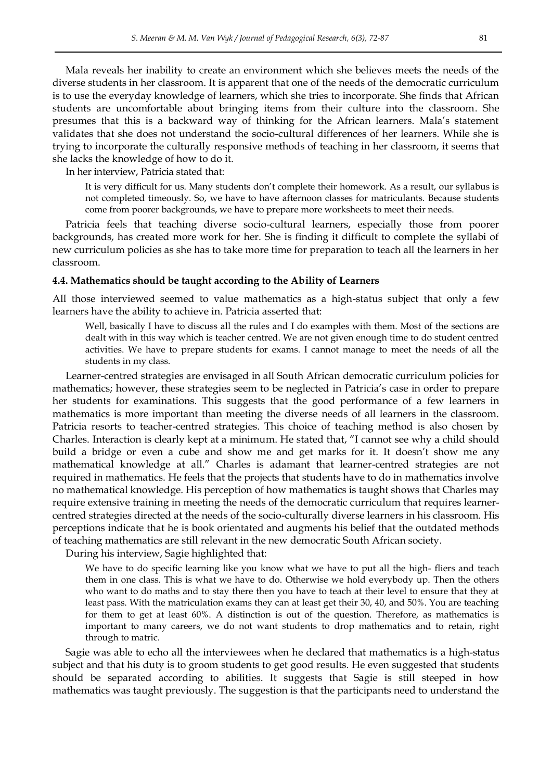Mala reveals her inability to create an environment which she believes meets the needs of the diverse students in her classroom. It is apparent that one of the needs of the democratic curriculum is to use the everyday knowledge of learners, which she tries to incorporate. She finds that African students are uncomfortable about bringing items from their culture into the classroom. She presumes that this is a backward way of thinking for the African learners. Mala"s statement validates that she does not understand the socio-cultural differences of her learners. While she is trying to incorporate the culturally responsive methods of teaching in her classroom, it seems that she lacks the knowledge of how to do it.

In her interview, Patricia stated that:

It is very difficult for us. Many students don"t complete their homework. As a result, our syllabus is not completed timeously. So, we have to have afternoon classes for matriculants. Because students come from poorer backgrounds, we have to prepare more worksheets to meet their needs.

Patricia feels that teaching diverse socio-cultural learners, especially those from poorer backgrounds, has created more work for her. She is finding it difficult to complete the syllabi of new curriculum policies as she has to take more time for preparation to teach all the learners in her classroom.

#### **4.4. Mathematics should be taught according to the Ability of Learners**

All those interviewed seemed to value mathematics as a high-status subject that only a few learners have the ability to achieve in. Patricia asserted that:

Well, basically I have to discuss all the rules and I do examples with them. Most of the sections are dealt with in this way which is teacher centred. We are not given enough time to do student centred activities. We have to prepare students for exams. I cannot manage to meet the needs of all the students in my class.

Learner-centred strategies are envisaged in all South African democratic curriculum policies for mathematics; however, these strategies seem to be neglected in Patricia's case in order to prepare her students for examinations. This suggests that the good performance of a few learners in mathematics is more important than meeting the diverse needs of all learners in the classroom. Patricia resorts to teacher-centred strategies. This choice of teaching method is also chosen by Charles. Interaction is clearly kept at a minimum. He stated that, "I cannot see why a child should build a bridge or even a cube and show me and get marks for it. It doesn't show me any mathematical knowledge at all." Charles is adamant that learner-centred strategies are not required in mathematics. He feels that the projects that students have to do in mathematics involve no mathematical knowledge. His perception of how mathematics is taught shows that Charles may require extensive training in meeting the needs of the democratic curriculum that requires learnercentred strategies directed at the needs of the socio-culturally diverse learners in his classroom. His perceptions indicate that he is book orientated and augments his belief that the outdated methods of teaching mathematics are still relevant in the new democratic South African society.

During his interview, Sagie highlighted that:

We have to do specific learning like you know what we have to put all the high- fliers and teach them in one class. This is what we have to do. Otherwise we hold everybody up. Then the others who want to do maths and to stay there then you have to teach at their level to ensure that they at least pass. With the matriculation exams they can at least get their 30, 40, and 50%. You are teaching for them to get at least 60%. A distinction is out of the question. Therefore, as mathematics is important to many careers, we do not want students to drop mathematics and to retain, right through to matric.

Sagie was able to echo all the interviewees when he declared that mathematics is a high-status subject and that his duty is to groom students to get good results. He even suggested that students should be separated according to abilities. It suggests that Sagie is still steeped in how mathematics was taught previously. The suggestion is that the participants need to understand the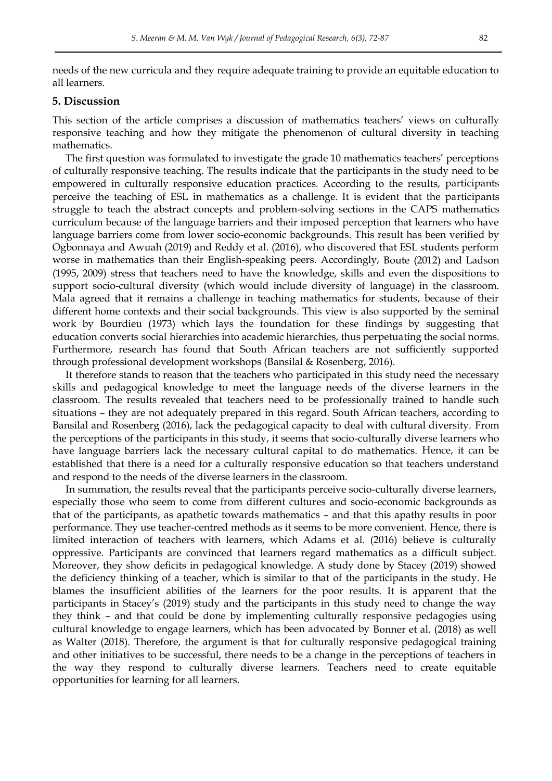needs of the new curricula and they require adequate training to provide an equitable education to all learners.

## **5. Discussion**

This section of the article comprises a discussion of mathematics teachers' views on culturally responsive teaching and how they mitigate the phenomenon of cultural diversity in teaching mathematics.

The first question was formulated to investigate the grade 10 mathematics teachers' perceptions of culturally responsive teaching. The results indicate that the participants in the study need to be empowered in culturally responsive education practices. According to the results, participants perceive the teaching of ESL in mathematics as a challenge. It is evident that the participants struggle to teach the abstract concepts and problem-solving sections in the CAPS mathematics curriculum because of the language barriers and their imposed perception that learners who have language barriers come from lower socio-economic backgrounds. This result has been verified by Ogbonnaya and Awuah (2019) and Reddy et al. (2016), who discovered that ESL students perform worse in mathematics than their English-speaking peers. Accordingly, Boute (2012) and Ladson (1995, 2009) stress that teachers need to have the knowledge, skills and even the dispositions to support socio-cultural diversity (which would include diversity of language) in the classroom. Mala agreed that it remains a challenge in teaching mathematics for students, because of their different home contexts and their social backgrounds. This view is also supported by the seminal work by Bourdieu (1973) which lays the foundation for these findings by suggesting that education converts social hierarchies into academic hierarchies, thus perpetuating the social norms. Furthermore, research has found that South African teachers are not sufficiently supported through professional development workshops (Bansilal & Rosenberg, 2016).

It therefore stands to reason that the teachers who participated in this study need the necessary skills and pedagogical knowledge to meet the language needs of the diverse learners in the classroom. The results revealed that teachers need to be professionally trained to handle such situations – they are not adequately prepared in this regard. South African teachers, according to Bansilal and Rosenberg (2016), lack the pedagogical capacity to deal with cultural diversity. From the perceptions of the participants in this study, it seems that socio-culturally diverse learners who have language barriers lack the necessary cultural capital to do mathematics. Hence, it can be established that there is a need for a culturally responsive education so that teachers understand and respond to the needs of the diverse learners in the classroom.

In summation, the results reveal that the participants perceive socio-culturally diverse learners, especially those who seem to come from different cultures and socio-economic backgrounds as that of the participants, as apathetic towards mathematics – and that this apathy results in poor performance. They use teacher-centred methods as it seems to be more convenient. Hence, there is limited interaction of teachers with learners, which Adams et al. (2016) believe is culturally oppressive. Participants are convinced that learners regard mathematics as a difficult subject. Moreover, they show deficits in pedagogical knowledge. A study done by Stacey (2019) showed the deficiency thinking of a teacher, which is similar to that of the participants in the study. He blames the insufficient abilities of the learners for the poor results. It is apparent that the participants in Stacey's (2019) study and the participants in this study need to change the way they think – and that could be done by implementing culturally responsive pedagogies using cultural knowledge to engage learners, which has been advocated by Bonner et al. (2018) as well as Walter (2018). Therefore, the argument is that for culturally responsive pedagogical training and other initiatives to be successful, there needs to be a change in the perceptions of teachers in the way they respond to culturally diverse learners. Teachers need to create equitable opportunities for learning for all learners.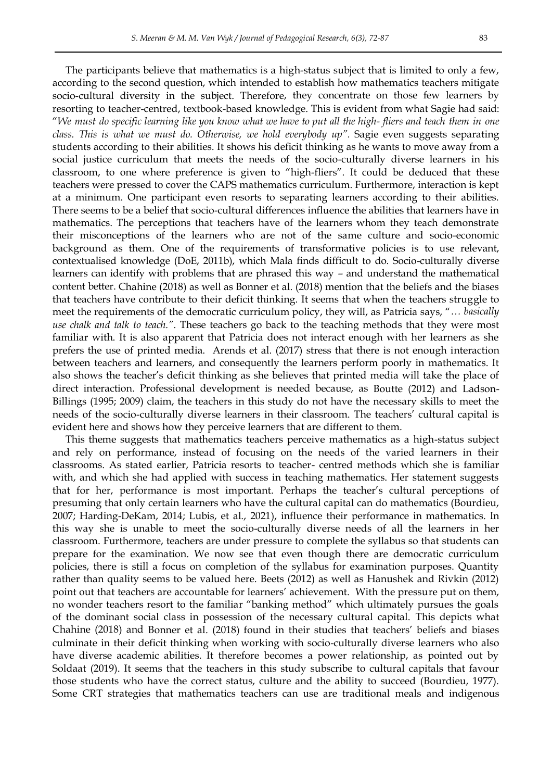The participants believe that mathematics is a high-status subject that is limited to only a few, according to the second question, which intended to establish how mathematics teachers mitigate socio-cultural diversity in the subject. Therefore, they concentrate on those few learners by resorting to teacher-centred, textbook-based knowledge. This is evident from what Sagie had said: "We must do specific learning like you know what we have to put all the high-fliers and teach them in one *class. This is what we must do. Otherwise, we hold everybody up".* Sagie even suggests separating students according to their abilities. It shows his deficit thinking as he wants to move away from a social justice curriculum that meets the needs of the socio-culturally diverse learners in his classroom, to one where preference is given to "high-fliers". It could be deduced that these teachers were pressed to cover the CAPS mathematics curriculum. Furthermore, interaction is kept at a minimum. One participant even resorts to separating learners according to their abilities. There seems to be a belief that socio-cultural differences influence the abilities that learners have in mathematics. The perceptions that teachers have of the learners whom they teach demonstrate their misconceptions of the learners who are not of the same culture and socio-economic background as them. One of the requirements of transformative policies is to use relevant, contextualised knowledge (DoE, 2011b), which Mala finds difficult to do. Socio-culturally diverse learners can identify with problems that are phrased this way – and understand the mathematical content better. Chahine (2018) as well as Bonner et al. (2018) mention that the beliefs and the biases that teachers have contribute to their deficit thinking. It seems that when the teachers struggle to meet the requirements of the democratic curriculum policy, they will, as Patricia says, "*… basically use chalk and talk to teach."*. These teachers go back to the teaching methods that they were most familiar with. It is also apparent that Patricia does not interact enough with her learners as she prefers the use of printed media. Arends et al. (2017) stress that there is not enough interaction between teachers and learners, and consequently the learners perform poorly in mathematics. It also shows the teacher"s deficit thinking as she believes that printed media will take the place of direct interaction. Professional development is needed because, as Boutte (2012) and Ladson-Billings (1995; 2009) claim, the teachers in this study do not have the necessary skills to meet the needs of the socio-culturally diverse learners in their classroom. The teachers' cultural capital is evident here and shows how they perceive learners that are different to them.

This theme suggests that mathematics teachers perceive mathematics as a high-status subject and rely on performance, instead of focusing on the needs of the varied learners in their classrooms. As stated earlier, Patricia resorts to teacher- centred methods which she is familiar with, and which she had applied with success in teaching mathematics. Her statement suggests that for her, performance is most important. Perhaps the teacher"s cultural perceptions of presuming that only certain learners who have the cultural capital can do mathematics (Bourdieu, 2007; Harding-DeKam, 2014; Lubis, et al., 2021), influence their performance in mathematics. In this way she is unable to meet the socio-culturally diverse needs of all the learners in her classroom. Furthermore, teachers are under pressure to complete the syllabus so that students can prepare for the examination. We now see that even though there are democratic curriculum policies, there is still a focus on completion of the syllabus for examination purposes. Quantity rather than quality seems to be valued here. Beets (2012) as well as Hanushek and Rivkin (2012) point out that teachers are accountable for learners' achievement. With the pressure put on them, no wonder teachers resort to the familiar "banking method" which ultimately pursues the goals of the dominant social class in possession of the necessary cultural capital. This depicts what Chahine (2018) and Bonner et al. (2018) found in their studies that teachers" beliefs and biases culminate in their deficit thinking when working with socio-culturally diverse learners who also have diverse academic abilities. It therefore becomes a power relationship, as pointed out by Soldaat (2019). It seems that the teachers in this study subscribe to cultural capitals that favour those students who have the correct status, culture and the ability to succeed (Bourdieu, 1977). Some CRT strategies that mathematics teachers can use are traditional meals and indigenous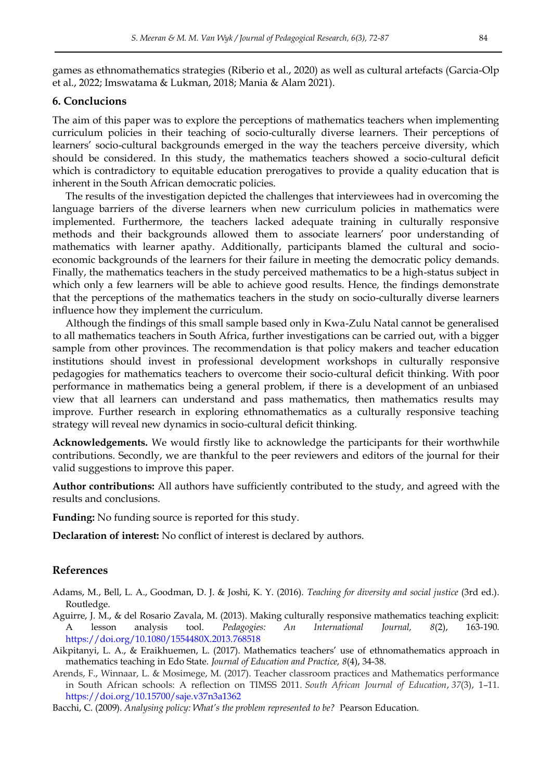games as ethnomathematics strategies (Riberio et al., 2020) as well as cultural artefacts (Garcia-Olp et al., 2022; Imswatama & Lukman, 2018; Mania & Alam 2021).

## **6. Conclucions**

The aim of this paper was to explore the perceptions of mathematics teachers when implementing curriculum policies in their teaching of socio-culturally diverse learners. Their perceptions of learners' socio-cultural backgrounds emerged in the way the teachers perceive diversity, which should be considered. In this study, the mathematics teachers showed a socio-cultural deficit which is contradictory to equitable education prerogatives to provide a quality education that is inherent in the South African democratic policies.

The results of the investigation depicted the challenges that interviewees had in overcoming the language barriers of the diverse learners when new curriculum policies in mathematics were implemented. Furthermore, the teachers lacked adequate training in culturally responsive methods and their backgrounds allowed them to associate learners' poor understanding of mathematics with learner apathy. Additionally, participants blamed the cultural and socioeconomic backgrounds of the learners for their failure in meeting the democratic policy demands. Finally, the mathematics teachers in the study perceived mathematics to be a high-status subject in which only a few learners will be able to achieve good results. Hence, the findings demonstrate that the perceptions of the mathematics teachers in the study on socio-culturally diverse learners influence how they implement the curriculum.

Although the findings of this small sample based only in Kwa-Zulu Natal cannot be generalised to all mathematics teachers in South Africa, further investigations can be carried out, with a bigger sample from other provinces. The recommendation is that policy makers and teacher education institutions should invest in professional development workshops in culturally responsive pedagogies for mathematics teachers to overcome their socio-cultural deficit thinking. With poor performance in mathematics being a general problem, if there is a development of an unbiased view that all learners can understand and pass mathematics, then mathematics results may improve. Further research in exploring ethnomathematics as a culturally responsive teaching strategy will reveal new dynamics in socio-cultural deficit thinking.

**Acknowledgements.** We would firstly like to acknowledge the participants for their worthwhile contributions. Secondly, we are thankful to the peer reviewers and editors of the journal for their valid suggestions to improve this paper.

**Author contributions:** All authors have sufficiently contributed to the study, and agreed with the results and conclusions.

**Funding:** No funding source is reported for this study.

**Declaration of interest:** No conflict of interest is declared by authors.

## **References**

- Adams, M., Bell, L. A., Goodman, D. J. & Joshi, K. Y. (2016). *Teaching for diversity and social justice* (3rd ed.). Routledge.
- Aguirre, J. M., & del Rosario Zavala, M. (2013). Making culturally responsive mathematics teaching explicit: A lesson analysis tool. *Pedagogies: An International Journal, 8*(2), 163-190. <https://doi.org/10.1080/1554480X.2013.768518>
- Aikpitanyi, L. A., & Eraikhuemen, L. (2017). Mathematics teachers" use of ethnomathematics approach in mathematics teaching in Edo State. *Journal of Education and Practice, 8*(4), 34-38.
- Arends, F., Winnaar, L. & Mosimege, M. (2017). Teacher classroom practices and Mathematics performance in South African schools: A reflection on TIMSS 2011. *South African Journal of Education*, *37*(3), 1–11. [https://doi.org](https://doi.org/)[/10.15700/saje.v37n3a1362](https://doi.org/10.15700/saje.v37n3a1362)

Bacchi, C. (2009). *Analysing policy: What's the problem represented to be?* Pearson Education.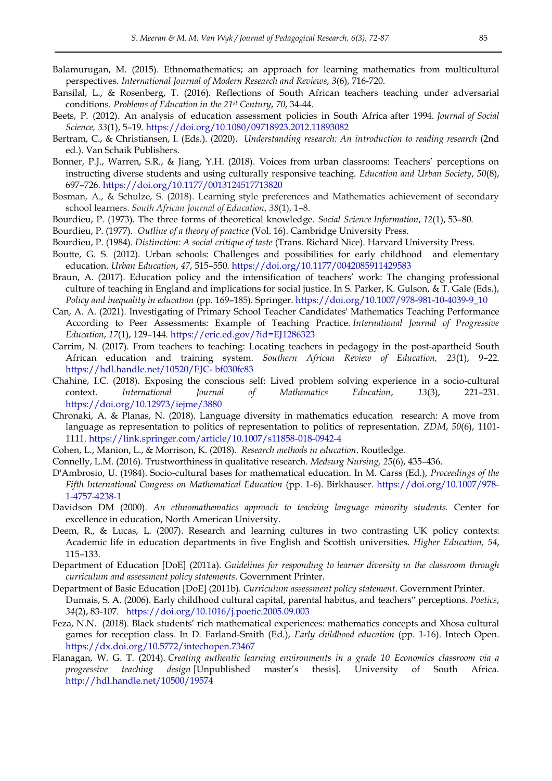- Balamurugan, M. (2015). Ethnomathematics; an approach for learning mathematics from multicultural perspectives. *International Journal of Modern Research and Reviews*, *3*(6), 716-720.
- Bansilal, L., & Rosenberg, T. (2016). Reflections of South African teachers teaching under adversarial conditions. *Problems of Education in the 21st Century*, *70*, 34-44.
- Beets, P. (2012). An analysis of education assessment policies in South Africa after 1994. *Journal of Social Science, 33*(1), 5–19.<https://doi.org/10.1080/09718923.2012.11893082>
- Bertram, C., & Christiansen, I. (Eds.). (2020). *Understanding research: An introduction to reading research* (2nd ed.). Van Schaik Publishers.
- Bonner, P.J., Warren, S.R., & Jiang, Y.H. (2018). Voices from urban classrooms: Teachers" perceptions on instructing diverse students and using culturally responsive teaching. *Education and Urban Society*, *50*(8), 697–726.<https://doi.org/10.1177/0013124517713820>
- Bosman, A., & Schulze, S. (2018). Learning style preferences and Mathematics achievement of secondary school learners. *South African Journal of Education*, *38*(1), 1–8.
- Bourdieu, P. (1973). The three forms of theoretical knowledge. *Social Science Information*, *12*(1), 53–80.
- Bourdieu, P. (1977). *Outline of a theory of practice* (Vol. 16). Cambridge University Press.
- Bourdieu, P. (1984). *Distinction: A social critique of taste* (Trans. Richard Nice). Harvard University Press.
- Boutte, G. S. (2012). Urban schools: Challenges and possibilities for early childhood and elementary education. *Urban Education*, *47*, 515–550.<https://doi.org/10.1177/0042085911429583>
- Braun, A. (2017). Education policy and the intensification of teachers' work: The changing professional culture of teaching in England and implications for social justice. In S. Parker, K. Gulson, & T. Gale (Eds.), *Policy and inequality in education* (pp. 169–185). Springer. [https://doi.org/10.1007/978-981-10-4039-9\\_10](https://doi.org/10.1007/978-981-10-4039-9_10)
- Can, A. A. (2021). Investigating of Primary School Teacher Candidates' Mathematics Teaching Performance According to Peer Assessments: Example of Teaching Practice. *International Journal of Progressive Education*, *17*(1), 129–144. <https://eric.ed.gov/?id=EJ1286323>
- Carrim, N. (2017). From teachers to teaching: Locating teachers in pedagogy in the post-apartheid South African education and training system. *Southern African Review of Education, 23*(1), 9–22. [https://hdl.handle.net/10520/EJC-](https://hdl.handle.net/10520/EJC-%20bf030fc83) bf030fc83
- Chahine, I.C. (2018). Exposing the conscious self: Lived problem solving experience in a socio-cultural context. *International Journal of Mathematics Education*, *13*(3), 221–231. <https://doi.org/10.12973/iejme/3880>
- Chronaki, A. & Planas, N. (2018). Language diversity in mathematics education research: A move from language as representation to politics of representation to politics of representation. *ZDM*, *50*(6), 1101- 1111.<https://link.springer.com/article/10.1007/s11858-018-0942-4>
- Cohen, L., Manion, L., & Morrison, K. (2018). *Research methods in education*. Routledge.
- Connelly, L.M. (2016). Trustworthiness in qualitative research. *Medsurg Nursing, 25*(6), 435–436.
- D'Ambrosio, U. (1984). Socio-cultural bases for mathematical education. In M. Carss (Ed.), *Proceedings of the Fifth International Congress on Mathematical Education* (pp. 1-6). Birkhauser. [https://doi.org/10.1007/978-](https://doi.org/10.1007/978-1-4757-4238-1) [1-4757-4238-1](https://doi.org/10.1007/978-1-4757-4238-1)
- Davidson DM (2000). *An ethnomathematics approach to teaching language minority students.* Center for excellence in education, North American University.
- Deem, R., & Lucas, L. (2007). Research and learning cultures in two contrasting UK policy contexts: Academic life in education departments in five English and Scottish universities. *Higher Education, 54*, 115–133.
- Department of Education [DoE] (2011a). *Guidelines for responding to learner diversity in the classroom through curriculum and assessment policy statements*. Government Printer.
- Department of Basic Education [DoE] (2011b). *Curriculum assessment policy statement*. Government Printer. Dumais, S. A. (2006). Early childhood cultural capital, parental habitus, and teachers" perceptions. *Poetics*, *34*(2), 83-107. <https://doi.org/10.1016/j.poetic.2005.09.003>
- Feza, N.N. (2018). Black students" rich mathematical experiences: mathematics concepts and Xhosa cultural games for reception class. In D. Farland-Smith (Ed.), *Early childhood education* (pp. 1-16). Intech Open. <https://dx.doi.org/10.5772/intechopen.73467>
- Flanagan, W. G. T. (2014). *Creating authentic learning environments in a grade 10 Economics classroom via a progressive teaching design* [Unpublished master"s thesis]. University of South Africa. <http://hdl.handle.net/10500/19574>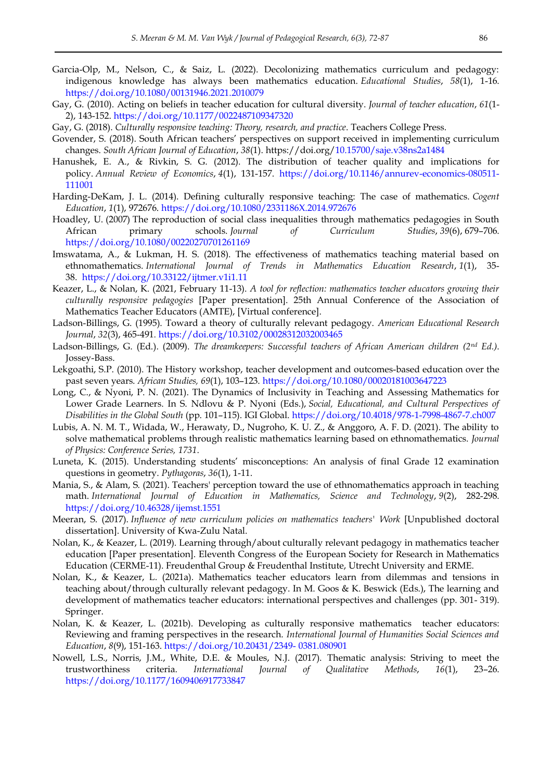- Garcia-Olp, M., Nelson, C., & Saiz, L. (2022). Decolonizing mathematics curriculum and pedagogy: indigenous knowledge has always been mathematics education. *Educational Studies*, *58*(1), 1-16. <https://doi.org/10.1080/00131946.2021.2010079>
- Gay, G. (2010). Acting on beliefs in teacher education for cultural diversity. *Journal of teacher education*, *61*(1- 2), 143-152[. https://doi.org/10.1177/0022487109347320](https://doi.org/10.1177/0022487109347320)
- Gay, G. (2018). *Culturally responsive teaching: Theory, research, and practice*. Teachers College Press.
- Govender, S. (2018). South African teachers" perspectives on support received in implementing curriculum changes. *South African Journal of Education*, *38*(1). https://doi.org[/10.15700/saje.v38ns2a1484](https://doi.org/10.15700/saje.v38ns2a1484)
- Hanushek, E. A., & Rivkin, S. G. (2012). The distribution of teacher quality and implications for policy. *Annual Review of Economics*, *4*(1), 131-157. [https://doi.org/10.1146/annurev-economics-080511-](https://doi.org/10.1146/annurev-economics-080511-111001) [111001](https://doi.org/10.1146/annurev-economics-080511-111001)
- Harding-DeKam, J. L. (2014). Defining culturally responsive teaching: The case of mathematics. *Cogent Education*, *1*(1), 972676. <https://doi.org/10.1080/2331186X.2014.972676>
- Hoadley, U. (2007) The reproduction of social class inequalities through mathematics pedagogies in South African primary schools. *Journal of Curriculum Studies*, *39*(6), 679–706. <https://doi.org/10.1080/00220270701261169>
- Imswatama, A., & Lukman, H. S. (2018). The effectiveness of mathematics teaching material based on ethnomathematics. *International Journal of Trends in Mathematics Education Research*, *1*(1), 35- 38. <https://doi.org/10.33122/ijtmer.v1i1.11>
- Keazer, L., & Nolan, K. (2021, February 11-13). *A tool for reflection: mathematics teacher educators growing their culturally responsive pedagogies* [Paper presentation]. 25th Annual Conference of the Association of Mathematics Teacher Educators (AMTE), [Virtual conference].
- Ladson-Billings, G. (1995). Toward a theory of culturally relevant pedagogy. *American Educational Research Journal*, *32*(3), 465-491.<https://doi.org/10.3102/00028312032003465>
- Ladson-Billings, G. (Ed.). (2009). *The dreamkeepers: Successful teachers of African American children (2nd Ed.)*. Jossey-Bass.
- Lekgoathi, S.P. (2010). The History workshop, teacher development and outcomes-based education over the past seven years. *African Studies, 69*(1), 103–123.<https://doi.org/10.1080/00020181003647223>
- Long, C., & Nyoni, P. N. (2021). The Dynamics of Inclusivity in Teaching and Assessing Mathematics for Lower Grade Learners. In S. Ndlovu & P. Nyoni (Eds.), *Social, Educational, and Cultural Perspectives of Disabilities in the Global South* (pp. 101–115). IGI Global.<https://doi.org/10.4018/978-1-7998-4867-7.ch007>
- Lubis, A. N. M. T., Widada, W., Herawaty, D., Nugroho, K. U. Z., & Anggoro, A. F. D. (2021). The ability to solve mathematical problems through realistic mathematics learning based on ethnomathematics. *Journal of Physics: Conference Series, 1731*.
- Luneta, K. (2015). Understanding students" misconceptions: An analysis of final Grade 12 examination questions in geometry. *Pythagoras*, *36*(1), 1-11.
- Mania, S., & Alam, S. (2021). Teachers' perception toward the use of ethnomathematics approach in teaching math. *International Journal of Education in Mathematics, Science and Technology*, *9*(2), 282-298. <https://doi.org/10.46328/ijemst.1551>
- Meeran, S. (2017). *Influence of new curriculum policies on mathematics teachers' Work* [Unpublished doctoral dissertation]. University of Kwa-Zulu Natal.
- Nolan, K., & Keazer, L. (2019). Learning through/about culturally relevant pedagogy in mathematics teacher education [Paper presentation]. Eleventh Congress of the European Society for Research in Mathematics Education (CERME-11). Freudenthal Group & Freudenthal Institute, Utrecht University and ERME.
- Nolan, K., & Keazer, L. (2021a). Mathematics teacher educators learn from dilemmas and tensions in teaching about/through culturally relevant pedagogy. In M. Goos & K. Beswick (Eds.), The learning and development of mathematics teacher educators: international perspectives and challenges (pp. 301- 319). Springer.
- Nolan, K. & Keazer, L. (2021b). Developing as culturally responsive mathematics teacher educators: Reviewing and framing perspectives in the research. *International Journal of Humanities Social Sciences and Education*, *8*(9), 151-163. [https://doi.org/10.20431/2349-](https://doi.org/10.20431/2349-%200381.080901) 0381.080901
- Nowell, L.S., Norris, J.M., White, D.E. & Moules, N.J. (2017). Thematic analysis: Striving to meet the trustworthiness criteria. *International Journal of Qualitative Methods*, *16*(1), 23–26. <https://doi.org/10.1177/1609406917733847>